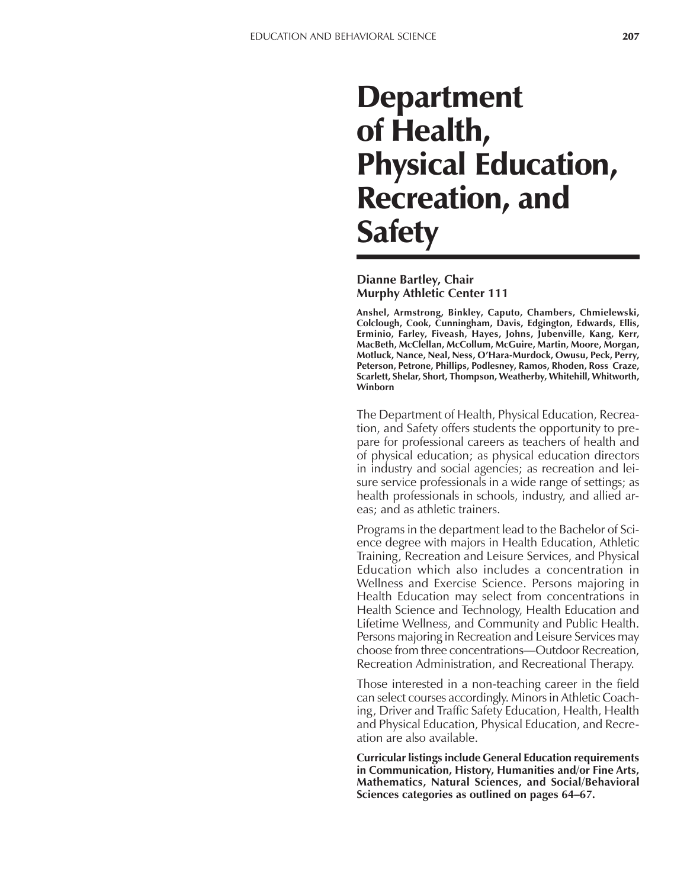# **Department** of Health, Physical Education, Recreation, and **Safety**

**Dianne Bartley, Chair Murphy Athletic Center 111**

**Anshel, Armstrong, Binkley, Caputo, Chambers, Chmielewski, Colclough, Cook, Cunningham, Davis, Edgington, Edwards, Ellis, Erminio, Farley, Fiveash, Hayes, Johns, Jubenville, Kang, Kerr, MacBeth, McClellan, McCollum, McGuire, Martin, Moore, Morgan, Motluck, Nance, Neal, Ness, OíHara-Murdock, Owusu, Peck, Perry, Peterson, Petrone, Phillips, Podlesney, Ramos, Rhoden, Ross Craze, Scarlett, Shelar, Short, Thompson, Weatherby, Whitehill, Whitworth, Winborn**

The Department of Health, Physical Education, Recreation, and Safety offers students the opportunity to prepare for professional careers as teachers of health and of physical education; as physical education directors in industry and social agencies; as recreation and leisure service professionals in a wide range of settings; as health professionals in schools, industry, and allied areas; and as athletic trainers.

Programs in the department lead to the Bachelor of Science degree with majors in Health Education, Athletic Training, Recreation and Leisure Services, and Physical Education which also includes a concentration in Wellness and Exercise Science. Persons majoring in Health Education may select from concentrations in Health Science and Technology, Health Education and Lifetime Wellness, and Community and Public Health. Persons majoring in Recreation and Leisure Services may choose from three concentrations—Outdoor Recreation, Recreation Administration, and Recreational Therapy.

Those interested in a non-teaching career in the field can select courses accordingly. Minors in Athletic Coaching, Driver and Traffic Safety Education, Health, Health and Physical Education, Physical Education, and Recreation are also available.

**Curricular listings include General Education requirements in Communication, History, Humanities and/or Fine Arts, Mathematics, Natural Sciences, and Social/Behavioral Sciences categories as outlined on pages 64–67.**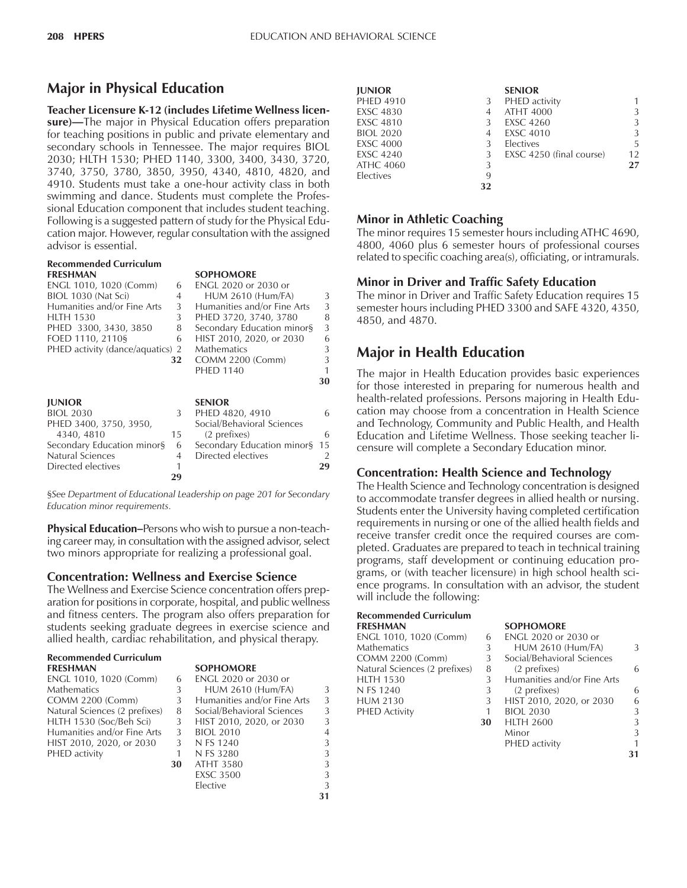# **Major in Physical Education**

**Teacher Licensure K-12 (includes Lifetime Wellness licen**sure)—The major in Physical Education offers preparation for teaching positions in public and private elementary and secondary schools in Tennessee. The major requires BIOL 2030; HLTH 1530; PHED 1140, 3300, 3400, 3430, 3720, 3740, 3750, 3780, 3850, 3950, 4340, 4810, 4820, and 4910. Students must take a one-hour activity class in both swimming and dance. Students must complete the Professional Education component that includes student teaching. Following is a suggested pattern of study for the Physical Education major. However, regular consultation with the assigned advisor is essential.

#### **Recommended Curriculum FRESHMAN**

| <b>FRESHMAN</b>       |  | <b>SOPHOMORE</b>     |
|-----------------------|--|----------------------|
| ENCI 1010 1020 (Comm) |  | FNGL 2020 or 2030 or |

| LIVUL TUTU, TUZU (CUIHIII)       | v  | LINGLE ZUZU UL ZUJU UL      |    |
|----------------------------------|----|-----------------------------|----|
| BIOL 1030 (Nat Sci)              | 4  | <b>HUM 2610 (Hum/FA)</b>    | 3  |
| Humanities and/or Fine Arts      | 3  | Humanities and/or Fine Arts | 3  |
| <b>HLTH 1530</b>                 | 3  | PHED 3720, 3740, 3780       | 8  |
| PHED 3300, 3430, 3850            | 8  | Secondary Education minor§  | 3  |
| FOED 1110, 2110§                 | 6  | HIST 2010, 2020, or 2030    | 6  |
| PHED activity (dance/aquatics) 2 |    | <b>Mathematics</b>          | 3  |
|                                  | 32 | <b>COMM 2200 (Comm)</b>     | 3  |
|                                  |    | <b>PHED 1140</b>            | 1  |
|                                  |    |                             | 30 |
| <b>JUNIOR</b>                    |    | <b>SENIOR</b>               |    |
| <b>BIOL 2030</b>                 | 3  | PHED 4820, 4910             | 6  |
| PHED 3400, 3750, 3950,           |    | Social/Behavioral Sciences  |    |
| 4340, 4810                       | 15 | (2 prefixes)                | 6  |
| Secondary Education minor§       | 6  | Secondary Education minor§  | 15 |
| <b>Natural Sciences</b>          | 4  | Directed electives          | 2  |
| Directed electives               |    |                             | 29 |
|                                  | 29 |                             |    |
|                                  |    |                             |    |

ß*See Department of Educational Leadership on page 201 for Secondary Education minor requirements.*

**Physical Education–Persons who wish to pursue a non-teach**ing career may, in consultation with the assigned advisor, select two minors appropriate for realizing a professional goal.

#### **Concentration: Wellness and Exercise Science**

The Wellness and Exercise Science concentration offers preparation for positions in corporate, hospital, and public wellness and fitness centers. The program also offers preparation for students seeking graduate degrees in exercise science and allied health, cardiac rehabilitation, and physical therapy.

Elective 3

**31**

#### **Recommended Curriculum FRESHMAN SOPHOMORE**

| ENGL 1010, 1020 (Comm)        | 6  | ENGL 2020 or 2030 or        |   |
|-------------------------------|----|-----------------------------|---|
| <b>Mathematics</b>            | 3  | <b>HUM 2610 (Hum/FA)</b>    | 3 |
| COMM 2200 (Comm)              | 3  | Humanities and/or Fine Arts | 3 |
| Natural Sciences (2 prefixes) | 8  | Social/Behavioral Sciences  | 3 |
| HLTH 1530 (Soc/Beh Sci)       | 3  | HIST 2010, 2020, or 2030    | 3 |
| Humanities and/or Fine Arts   |    | <b>BIOL 2010</b>            | 4 |
| HIST 2010, 2020, or 2030      |    | N FS 1240                   | 3 |
| PHED activity                 |    | N FS 3280                   | 3 |
|                               | 30 | <b>ATHT 3580</b>            | 3 |
|                               |    | <b>EXSC 3500</b>            | 3 |

| <b>IUNIOR</b>    |    | <b>SENIOR</b>            |    |
|------------------|----|--------------------------|----|
| <b>PHED 4910</b> | 3  | PHED activity            | 1  |
| <b>EXSC 4830</b> | 4  | <b>ATHT 4000</b>         | 3  |
| <b>EXSC 4810</b> | 3  | <b>EXSC 4260</b>         | 3  |
| <b>BIOL 2020</b> | 4  | <b>EXSC 4010</b>         | 3  |
| <b>EXSC 4000</b> | 3  | Electives                | 5  |
| <b>EXSC 4240</b> | 3  | EXSC 4250 (final course) | 12 |
| ATHC 4060        | 3  |                          | 27 |
| Electives        | 9  |                          |    |
|                  | 32 |                          |    |

#### **Minor in Athletic Coaching**

The minor requires 15 semester hours including ATHC 4690, 4800, 4060 plus 6 semester hours of professional courses related to specific coaching area(s), officiating, or intramurals.

#### **Minor in Driver and Traffic Safety Education**

The minor in Driver and Traffic Safety Education requires 15 semester hours including PHED 3300 and SAFE 4320, 4350, 4850, and 4870.

# **Major in Health Education**

The major in Health Education provides basic experiences for those interested in preparing for numerous health and health-related professions. Persons majoring in Health Education may choose from a concentration in Health Science and Technology, Community and Public Health, and Health Education and Lifetime Wellness. Those seeking teacher licensure will complete a Secondary Education minor.

#### **Concentration: Health Science and Technology**

The Health Science and Technology concentration is designed to accommodate transfer degrees in allied health or nursing. Students enter the University having completed certification requirements in nursing or one of the allied health fields and receive transfer credit once the required courses are completed. Graduates are prepared to teach in technical training programs, staff development or continuing education programs, or (with teacher licensure) in high school health science programs. In consultation with an advisor, the student will include the following:

| <b>Recommended Curriculum</b> |                  |
|-------------------------------|------------------|
| <b>FRESHMAN</b>               | <b>SOPHOMORE</b> |

ENGL 1010, 1020 (Comm) 6 Mathematics 3<br>COMM 2200 (Comm) 3 COMM 2200 (Comm) Natural Sciences (2 prefixes) 8 HLTH 1530 3<br>N FS 1240 3 N FS 1240 HUM 2130 3 PHED Activity 1<br>30

| 6  | <b>ENGL 2020 or 2030 or</b> |   |
|----|-----------------------------|---|
| 3  | <b>HUM 2610 (Hum/FA)</b>    | 3 |
| 3  | Social/Behavioral Sciences  |   |
| 8  | (2 prefixes)                | 6 |
| 3  | Humanities and/or Fine Arts |   |
| 3  | (2 prefixes)                | 6 |
| 3  | HIST 2010, 2020, or 2030    | 6 |
| 1  | <b>BIOL 2030</b>            | 3 |
| 30 | <b>HLTH 2600</b>            | 3 |
|    | Minor                       | 3 |
|    | PHED activity               |   |
|    |                             |   |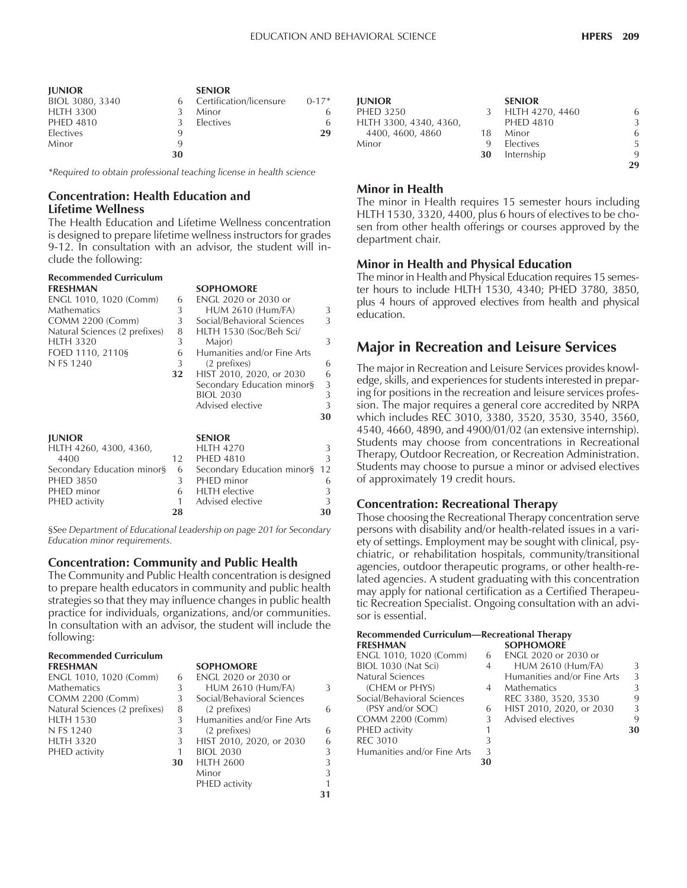| <b>IUNIOR</b>    |    | <b>SENIOR</b>           |           |
|------------------|----|-------------------------|-----------|
| BIOL 3080, 3340  | 6  | Certification/licensure | $0 - 17*$ |
| <b>HLTH 3300</b> | Κ  | Minor                   |           |
| <b>PHED 4810</b> | 3  | <b>Electives</b>        |           |
| <b>Electives</b> | 9  |                         | 29        |
| Minor            | 9  |                         |           |
|                  | 30 |                         |           |

*\*Required to obtain professional teaching license in health science*

#### **Concentration: Health Education and Lifetime Wellness**

The Health Education and Lifetime Wellness concentration is designed to prepare lifetime wellness instructors for grades 9-12. In consultation with an advisor, the student will include the following:

| <b>Recommended Curriculum</b><br><b>FRESHMAN</b><br>ENGL 1010, 1020 (Comm)<br><b>Mathematics</b><br><b>COMM 2200 (Comm)</b><br>Natural Sciences (2 prefixes)<br><b>HLTH 3320</b><br>FOED 1110, 2110§<br>N FS 1240 | 6<br>3<br>3<br>8<br>3<br>6<br>3<br>32 | <b>SOPHOMORE</b><br><b>ENGL 2020 or 2030 or</b><br><b>HUM 2610 (Hum/FA)</b><br>Social/Behavioral Sciences<br>HLTH 1530 (Soc/Beh Sci/<br>Major)<br>Humanities and/or Fine Arts<br>(2 prefixes)<br>HIST 2010, 2020, or 2030<br>Secondary Education minor§<br><b>BIOL 2030</b><br>Advised elective | 3<br>3<br>3<br>6<br>6<br>3<br>3<br>3<br>30 |
|-------------------------------------------------------------------------------------------------------------------------------------------------------------------------------------------------------------------|---------------------------------------|-------------------------------------------------------------------------------------------------------------------------------------------------------------------------------------------------------------------------------------------------------------------------------------------------|--------------------------------------------|
| <b>JUNIOR</b><br>HLTH 4260, 4300, 4360,<br>4400<br>Secondary Education minor§<br><b>PHED 3850</b><br>PHED minor<br>PHED activity                                                                                  | 12<br>6<br>3<br>6<br>1<br>28          | <b>SENIOR</b><br><b>HLTH 4270</b><br><b>PHED 4810</b><br>Secondary Education minor§<br>PHED minor<br><b>HLTH</b> elective<br>Advised elective                                                                                                                                                   | 3<br>3<br>12<br>6<br>3<br>3<br>30          |

ß*See Department of Educational Leadership on page 201 for Secondary Education minor requirements.*

#### **Concentration: Community and Public Health**

The Community and Public Health concentration is designed to prepare health educators in community and public health strategies so that they may influence changes in public health practice for individuals, organizations, and/or communities. In consultation with an advisor, the student will include the following:

# **Recommended Curriculum**

| ENGL 1010, 1020 (Comm)        | 6  | ENGL 2020 or 2030 or        |
|-------------------------------|----|-----------------------------|
| <b>Mathematics</b>            | 3  | <b>HUM 2610 (Hum/FA)</b>    |
| <b>COMM 2200 (Comm)</b>       | -3 | Social/Behavioral Sciences  |
| Natural Sciences (2 prefixes) | 8  | (2 prefixes)                |
| <b>HLTH 1530</b>              | 3  | Humanities and/or Fine Arts |
| N FS 1240                     | 3  | (2 prefixes)                |
| <b>HLTH 3320</b>              | 3  | HIST 2010, 2020, or 2030    |
| PHED activity                 |    | <b>BIOL 2030</b>            |
|                               |    |                             |

# **SOPHOMORE**

| ENGL 1010, 1020 (Comm)        | h  | ENGL 2020 or 2030 or        |    |
|-------------------------------|----|-----------------------------|----|
| Mathematics                   | 3  | <b>HUM 2610 (Hum/FA)</b>    | 3  |
| COMM 2200 (Comm)              | 3  | Social/Behavioral Sciences  |    |
| Natural Sciences (2 prefixes) | 8  | (2 prefixes)                | 6  |
| HLTH 1530                     |    | Humanities and/or Fine Arts |    |
| N FS 1240                     | 3  | (2 prefixes)                | 6  |
| HLTH 3320                     | 3  | HIST 2010, 2020, or 2030    | 6  |
| PHED activity                 |    | <b>BIOL 2030</b>            | 3  |
|                               | 30 | <b>HLTH 2600</b>            | 3  |
|                               |    | Minor                       | 3  |
|                               |    | PHED activity               | 1  |
|                               |    |                             | 31 |

| <b>IUNIOR</b>          |     | <b>SENIOR</b>    |    |
|------------------------|-----|------------------|----|
| <b>PHED 3250</b>       | 3   | HLTH 4270, 4460  | 6  |
| HLTH 3300, 4340, 4360, |     | <b>PHED 4810</b> | 3  |
| 4400, 4600, 4860       | 18. | Minor            | 6  |
| Minor                  | 9   | <b>Electives</b> | 5. |
|                        | 30  | Internship       | 9  |
|                        |     |                  | 29 |

#### **Minor in Health**

The minor in Health requires 15 semester hours including HLTH 1530, 3320, 4400, plus 6 hours of electives to be chosen from other health offerings or courses approved by the department chair.

#### **Minor in Health and Physical Education**

The minor in Health and Physical Education requires 15 semester hours to include HLTH 1530, 4340; PHED 3780, 3850, plus 4 hours of approved electives from health and physical education.

### **Major in Recreation and Leisure Services**

The major in Recreation and Leisure Services provides knowledge, skills, and experiences for students interested in preparing for positions in the recreation and leisure services profession. The major requires a general core accredited by NRPA which includes REC 3010, 3380, 3520, 3530, 3540, 3560, 4540, 4660, 4890, and 4900/01/02 (an extensive internship). Students may choose from concentrations in Recreational Therapy, Outdoor Recreation, or Recreation Administration. Students may choose to pursue a minor or advised electives of approximately 19 credit hours.

#### **Concentration: Recreational Therapy**

Those choosing the Recreational Therapy concentration serve persons with disability and/or health-related issues in a variety of settings. Employment may be sought with clinical, psychiatric, or rehabilitation hospitals, community/transitional agencies, outdoor therapeutic programs, or other health-related agencies. A student graduating with this concentration may apply for national certification as a Certified Therapeutic Recreation Specialist. Ongoing consultation with an advisor is essential.

| <b>Recommended Curriculum—Recreational Therapy</b> |   |                             |    |
|----------------------------------------------------|---|-----------------------------|----|
| <b>FRESHMAN</b>                                    |   | <b>SOPHOMORE</b>            |    |
| ENGL 1010, 1020 (Comm)                             | 6 | <b>ENGL 2020 or 2030 or</b> |    |
| BIOL 1030 (Nat Sci)                                | 4 | <b>HUM 2610 (Hum/FA)</b>    | ζ  |
| Natural Sciences                                   |   | Humanities and/or Fine Arts | 3  |
| (CHEM or PHYS)                                     | 4 | <b>Mathematics</b>          | ς  |
| Social/Behavioral Sciences                         |   | REC 3380, 3520, 3530        |    |
| (PSY and/or SOC)                                   | 6 | HIST 2010, 2020, or 2030    | 3  |
| <b>COMM 2200 (Comm)</b>                            | 3 | Advised electives           | q  |
| PHED activity                                      |   |                             | 30 |
| <b>REC 3010</b>                                    | 3 |                             |    |
| Humanities and/or Fine Arts                        | 3 |                             |    |
|                                                    |   |                             |    |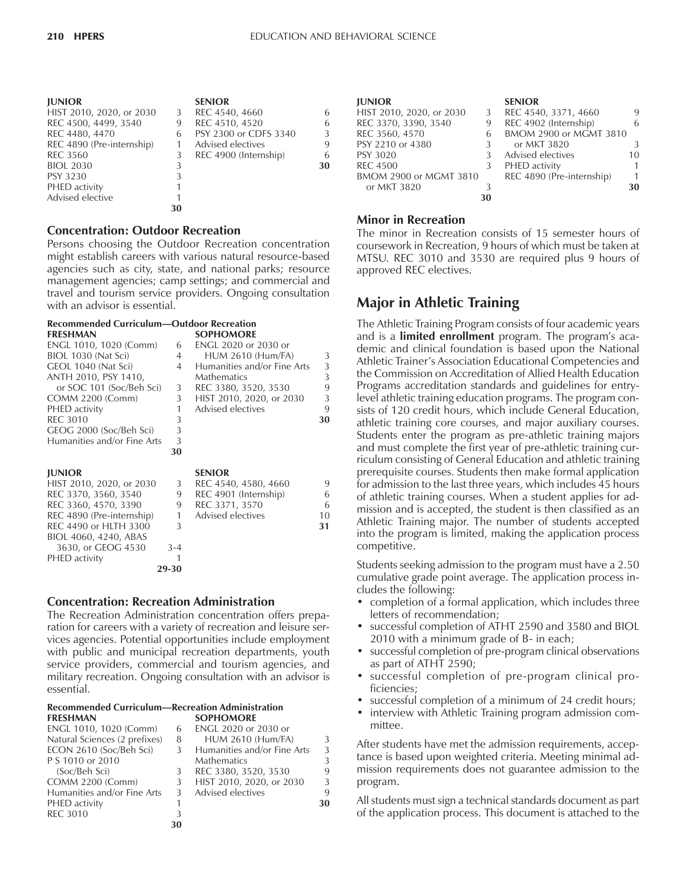| <b>JUNIOR</b>             |    | <b>SENIOR</b>         |    |
|---------------------------|----|-----------------------|----|
| HIST 2010, 2020, or 2030  | 3  | REC 4540, 4660        | 6  |
| REC 4500, 4499, 3540      | 9  | REC 4510, 4520        | 6  |
| REC 4480, 4470            | 6  | PSY 2300 or CDFS 3340 | 3  |
| REC 4890 (Pre-internship) |    | Advised electives     | 9  |
| <b>REC 3560</b>           | 3  | REC 4900 (Internship) | 6  |
| <b>BIOL 2030</b>          | 3  |                       | 30 |
| <b>PSY 3230</b>           | 3  |                       |    |
| PHED activity             |    |                       |    |
| Advised elective          |    |                       |    |
|                           | 30 |                       |    |

#### **Concentration: Outdoor Recreation**

Persons choosing the Outdoor Recreation concentration might establish careers with various natural resource-based agencies such as city, state, and national parks; resource management agencies; camp settings; and commercial and travel and tourism service providers. Ongoing consultation with an advisor is essential.

#### **Recommended Curriculum–Outdoor Recreation**<br>COPHOMOPE **FRESHMAN SOPHOMORE**

| I NLJI I/VIAIN              |       | <b>JULIU/VIUNL</b>          |    |
|-----------------------------|-------|-----------------------------|----|
| ENGL 1010, 1020 (Comm)      | 6     | ENGL 2020 or 2030 or        |    |
| BIOL 1030 (Nat Sci)         | 4     | <b>HUM 2610 (Hum/FA)</b>    | 3  |
| GEOL 1040 (Nat Sci)         | 4     | Humanities and/or Fine Arts | 3  |
| ANTH 2010, PSY 1410,        |       | <b>Mathematics</b>          | 3  |
| or SOC 101 (Soc/Beh Sci)    | 3     | REC 3380, 3520, 3530        | 9  |
| <b>COMM 2200 (Comm)</b>     | 3     | HIST 2010, 2020, or 2030    | 3  |
| PHED activity               | 1     | Advised electives           | 9  |
| <b>REC 3010</b>             | 3     |                             | 30 |
| GEOG 2000 (Soc/Beh Sci)     | 3     |                             |    |
| Humanities and/or Fine Arts | 3     |                             |    |
|                             | 30    |                             |    |
| <b>JUNIOR</b>               |       | <b>SENIOR</b>               |    |
| HIST 2010, 2020, or 2030    | 3     | REC 4540, 4580, 4660        | 9  |
| REC 3370, 3560, 3540        | 9     | REC 4901 (Internship)       | 6  |
| REC 3360, 4570, 3390        | 9     | REC 3371, 3570              | 6  |
| REC 4890 (Pre-internship)   | 1     | Advised electives           | 10 |
| REC 4490 or HLTH 3300       | 3     |                             | 31 |
| BIOL 4060, 4240, ABAS       |       |                             |    |
| 3630, or GEOG 4530          | 3-4   |                             |    |
| PHED activity               |       |                             |    |
|                             | 29-30 |                             |    |

#### **Concentration: Recreation Administration**

The Recreation Administration concentration offers preparation for careers with a variety of recreation and leisure services agencies. Potential opportunities include employment with public and municipal recreation departments, youth service providers, commercial and tourism agencies, and military recreation. Ongoing consultation with an advisor is essential.

#### **Recommended Curriculum—Recreation Administration FRESHMAN SOPHOMORE**

| ENGL 1010, 1020 (Comm)        | 6  | ENGL 2020 or 2030 or        |    |
|-------------------------------|----|-----------------------------|----|
| Natural Sciences (2 prefixes) | 8  | <b>HUM 2610 (Hum/FA)</b>    | 3  |
| ECON 2610 (Soc/Beh Sci)       |    | Humanities and/or Fine Arts | 3  |
| P S 1010 or 2010              |    | <b>Mathematics</b>          | 3  |
| (Soc/Beh Sci)                 |    | REC 3380, 3520, 3530        | 9  |
| <b>COMM 2200 (Comm)</b>       | 3  | HIST 2010, 2020, or 2030    | 3  |
| Humanities and/or Fine Arts   | 3  | Advised electives           | 9  |
| PHED activity                 |    |                             | 30 |
| <b>REC 3010</b>               |    |                             |    |
|                               | 30 |                             |    |

| <b>JUNIOR</b>            |   | <b>SENIOR</b>             |    |  |
|--------------------------|---|---------------------------|----|--|
| HIST 2010, 2020, or 2030 | 3 | REC 4540, 3371, 4660      | 9  |  |
| REC 3370, 3390, 3540     | 9 | REC 4902 (Internship)     | 6  |  |
| REC 3560, 4570           | 6 | BMOM 2900 or MGMT 3810    |    |  |
| PSY 2210 or 4380         |   | or MKT 3820               | 3  |  |
| <b>PSY 3020</b>          |   | Advised electives         | 10 |  |
| <b>REC 4500</b>          | 3 | PHED activity             |    |  |
| BMOM 2900 or MGMT 3810   |   | REC 4890 (Pre-internship) | 1  |  |
| or MKT 3820              | 3 |                           | 30 |  |
|                          |   |                           |    |  |

#### **Minor in Recreation**

The minor in Recreation consists of 15 semester hours of coursework in Recreation, 9 hours of which must be taken at MTSU. REC 3010 and 3530 are required plus 9 hours of approved REC electives.

# **Major in Athletic Training**

The Athletic Training Program consists of four academic years and is a **limited enrollment** program. The programís academic and clinical foundation is based upon the National Athletic Trainer's Association Educational Competencies and the Commission on Accreditation of Allied Health Education Programs accreditation standards and guidelines for entrylevel athletic training education programs. The program consists of 120 credit hours, which include General Education, athletic training core courses, and major auxiliary courses. Students enter the program as pre-athletic training majors and must complete the first year of pre-athletic training curriculum consisting of General Education and athletic training prerequisite courses. Students then make formal application for admission to the last three years, which includes 45 hours of athletic training courses. When a student applies for admission and is accepted, the student is then classified as an Athletic Training major. The number of students accepted into the program is limited, making the application process competitive.

Students seeking admission to the program must have a 2.50 cumulative grade point average. The application process includes the following:

- completion of a formal application, which includes three letters of recommendation;
- successful completion of ATHT 2590 and 3580 and BIOL 2010 with a minimum grade of B- in each;
- successful completion of pre-program clinical observations as part of ATHT 2590;
- successful completion of pre-program clinical proficiencies;
- successful completion of a minimum of 24 credit hours;
- interview with Athletic Training program admission committee.

After students have met the admission requirements, acceptance is based upon weighted criteria. Meeting minimal admission requirements does not guarantee admission to the program.

All students must sign a technical standards document as part of the application process. This document is attached to the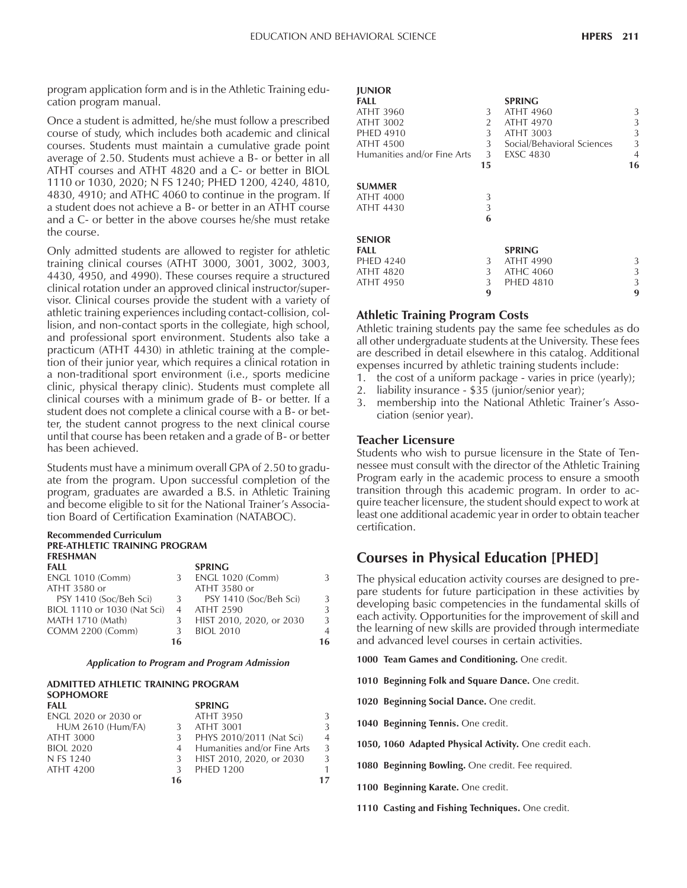program application form and is in the Athletic Training education program manual.

Once a student is admitted, he/she must follow a prescribed course of study, which includes both academic and clinical courses. Students must maintain a cumulative grade point average of 2.50. Students must achieve a B- or better in all ATHT courses and ATHT 4820 and a C- or better in BIOL 1110 or 1030, 2020; N FS 1240; PHED 1200, 4240, 4810, 4830, 4910; and ATHC 4060 to continue in the program. If a student does not achieve a B- or better in an ATHT course and a C- or better in the above courses he/she must retake the course.

Only admitted students are allowed to register for athletic training clinical courses (ATHT 3000, 3001, 3002, 3003, 4430, 4950, and 4990). These courses require a structured clinical rotation under an approved clinical instructor/supervisor. Clinical courses provide the student with a variety of athletic training experiences including contact-collision, collision, and non-contact sports in the collegiate, high school, and professional sport environment. Students also take a practicum (ATHT 4430) in athletic training at the completion of their junior year, which requires a clinical rotation in a non-traditional sport environment (i.e., sports medicine clinic, physical therapy clinic). Students must complete all clinical courses with a minimum grade of B- or better. If a student does not complete a clinical course with a B- or better, the student cannot progress to the next clinical course until that course has been retaken and a grade of B- or better has been achieved.

Students must have a minimum overall GPA of 2.50 to graduate from the program. Upon successful completion of the program, graduates are awarded a B.S. in Athletic Training and become eligible to sit for the National Trainer's Association Board of Certification Examination (NATABOC).

#### **Recommended Curriculum PRE-ATHLETIC TRAINING PROGRAM FRESHMAN**

|    | <b>SPRING</b>            |    |
|----|--------------------------|----|
|    | <b>ENGL 1020 (Comm)</b>  | 3  |
|    | ATHT 3580 or             |    |
|    | PSY 1410 (Soc/Beh Sci)   | 3  |
|    | <b>ATHT 2590</b>         | 3  |
|    | HIST 2010, 2020, or 2030 | 3  |
|    | <b>BIOL 2010</b>         | 4  |
| 16 |                          | 16 |
|    |                          | 3  |

#### *Application to Program and Program Admission*

#### **ADMITTED ATHLETIC TRAINING PROGRAM SOPHOMORE SPRING**

| ENGL 2020 or 2030 or     |    | ATHT 3950                     | 3              |
|--------------------------|----|-------------------------------|----------------|
| <b>HUM 2610 (Hum/FA)</b> |    | ATHT 3001                     | 3              |
| ATHT 3000                |    | PHYS 2010/2011 (Nat Sci)      | $\overline{4}$ |
| <b>BIOL 2020</b>         |    | 4 Humanities and/or Fine Arts | 3              |
| N FS 1240                | -3 | HIST 2010, 2020, or 2030      | 3              |
| ATHT 4200                |    | <b>PHED 1200</b>              | 1.             |
|                          | 16 |                               |                |
|                          |    |                               |                |

| <b>JUNIOR</b><br>FALL<br>ATHT 3960<br>ATHT 3002<br><b>PHED 4910</b><br><b>ATHT 4500</b><br>Humanities and/or Fine Arts | 3<br>2<br>3<br>3<br>3 <sup>7</sup><br>15 | <b>SPRING</b><br>ATHT 4960<br>ATHT 4970<br>ATHT 3003<br>Social/Behavioral Sciences<br><b>EXSC 4830</b> | 3<br>3<br>3<br>3<br>$\overline{4}$<br>16 |
|------------------------------------------------------------------------------------------------------------------------|------------------------------------------|--------------------------------------------------------------------------------------------------------|------------------------------------------|
| <b>SUMMER</b><br>ATHT 4000<br><b>ATHT 4430</b>                                                                         | 3<br>3<br>6                              |                                                                                                        |                                          |
| <b>SENIOR</b><br>FALL<br><b>PHED 4240</b><br><b>ATHT 4820</b><br>ATHT 4950                                             | 3<br>3<br>3<br>9                         | <b>SPRING</b><br>ATHT 4990<br><b>ATHC 4060</b><br><b>PHED 4810</b>                                     | 3<br>3<br>3<br>9                         |

#### **Athletic Training Program Costs**

Athletic training students pay the same fee schedules as do all other undergraduate students at the University. These fees are described in detail elsewhere in this catalog. Additional expenses incurred by athletic training students include:

- 1. the cost of a uniform package varies in price (yearly);
- 2. liability insurance \$35 (junior/senior year);
- 3. membership into the National Athletic Trainer's Association (senior year).

#### **Teacher Licensure**

Students who wish to pursue licensure in the State of Tennessee must consult with the director of the Athletic Training Program early in the academic process to ensure a smooth transition through this academic program. In order to acquire teacher licensure, the student should expect to work at least one additional academic year in order to obtain teacher certification.

### **Courses in Physical Education [PHED]**

The physical education activity courses are designed to prepare students for future participation in these activities by developing basic competencies in the fundamental skills of each activity. Opportunities for the improvement of skill and the learning of new skills are provided through intermediate and advanced level courses in certain activities.

**1000 Team Games and Conditioning.** One credit.

**1010 Beginning Folk and Square Dance.** One credit.

**1020 Beginning Social Dance.** One credit.

**1040 Beginning Tennis.** One credit.

- **1050, 1060 Adapted Physical Activity.** One credit each.
- **1080 Beginning Bowling.** One credit. Fee required.
- **1100 Beginning Karate.** One credit.
- **1110 Casting and Fishing Techniques.** One credit.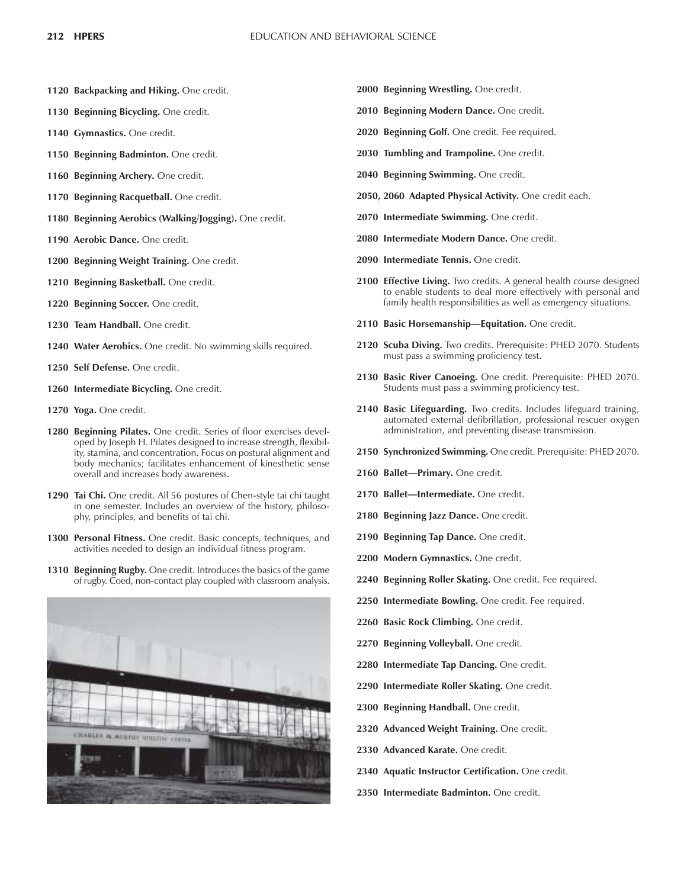- **1120 Backpacking and Hiking.** One credit.
- **1130 Beginning Bicycling.** One credit.
- **1140 Gymnastics.** One credit.
- **1150 Beginning Badminton.** One credit.
- **1160 Beginning Archery.** One credit.
- **1170 Beginning Racquetball.** One credit.
- **1180 Beginning Aerobics (Walking/Jogging).** One credit.
- **1190 Aerobic Dance.** One credit.
- **1200 Beginning Weight Training.** One credit.
- **1210 Beginning Basketball.** One credit.
- **1220 Beginning Soccer.** One credit.
- **1230 Team Handball.** One credit.
- **1240 Water Aerobics.** One credit. No swimming skills required.
- **1250 Self Defense.** One credit.
- **1260 Intermediate Bicycling.** One credit.
- **1270 Yoga.** One credit.
- **1280 Beginning Pilates.** One credit. Series of floor exercises developed by Joseph H. Pilates designed to increase strength, flexibility, stamina, and concentration. Focus on postural alignment and body mechanics; facilitates enhancement of kinesthetic sense overall and increases body awareness.
- **1290 Tai Chi.** One credit. All 56 postures of Chen-style tai chi taught in one semester. Includes an overview of the history, philosophy, principles, and benefits of tai chi.
- **1300 Personal Fitness.** One credit. Basic concepts, techniques, and activities needed to design an individual fitness program.
- **1310 Beginning Rugby.** One credit. Introduces the basics of the game of rugby. Coed, non-contact play coupled with classroom analysis.



- **2000 Beginning Wrestling.** One credit.
- **2010 Beginning Modern Dance.** One credit.
- **2020 Beginning Golf.** One credit. Fee required.
- **2030 Tumbling and Trampoline.** One credit.
- **2040 Beginning Swimming.** One credit.
- **2050, 2060 Adapted Physical Activity.** One credit each.
- **2070 Intermediate Swimming.** One credit.
- **2080 Intermediate Modern Dance.** One credit.
- **2090 Intermediate Tennis.** One credit.
- **2100 Effective Living.** Two credits. A general health course designed to enable students to deal more effectively with personal and family health responsibilities as well as emergency situations.
- 2110 Basic Horsemanship-Equitation. One credit.
- **2120 Scuba Diving.** Two credits. Prerequisite: PHED 2070. Students must pass a swimming proficiency test.
- **2130 Basic River Canoeing.** One credit. Prerequisite: PHED 2070. Students must pass a swimming proficiency test.
- **2140 Basic Lifeguarding.** Two credits. Includes lifeguard training, automated external defibrillation, professional rescuer oxygen administration, and preventing disease transmission.
- **2150 Synchronized Swimming.** One credit. Prerequisite: PHED 2070.
- 2160 Ballet-Primary. One credit.
- 2170 Ballet-Intermediate. One credit.
- **2180 Beginning Jazz Dance.** One credit.
- **2190 Beginning Tap Dance.** One credit.
- **2200 Modern Gymnastics.** One credit.
- **2240 Beginning Roller Skating.** One credit. Fee required.
- **2250 Intermediate Bowling.** One credit. Fee required.
- **2260 Basic Rock Climbing.** One credit.
- **2270 Beginning Volleyball.** One credit.
- **2280 Intermediate Tap Dancing.** One credit.
- **2290 Intermediate Roller Skating.** One credit.
- **2300 Beginning Handball.** One credit.
- **2320 Advanced Weight Training.** One credit.
- **2330 Advanced Karate.** One credit.
- **2340 Aquatic Instructor Certification.** One credit.
- **2350 Intermediate Badminton.** One credit.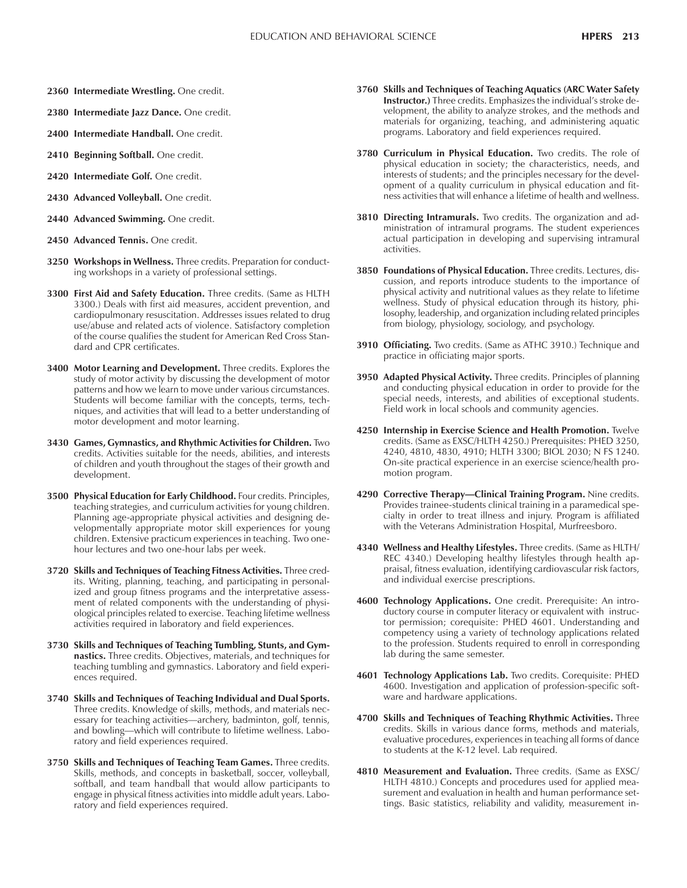- **2360 Intermediate Wrestling.** One credit.
- **2380 Intermediate Jazz Dance.** One credit.
- **2400 Intermediate Handball.** One credit.
- **2410 Beginning Softball.** One credit.
- **2420 Intermediate Golf.** One credit.
- **2430 Advanced Volleyball.** One credit.
- **2440 Advanced Swimming.** One credit.
- **2450 Advanced Tennis.** One credit.
- **3250 Workshops in Wellness.** Three credits. Preparation for conducting workshops in a variety of professional settings.
- **3300 First Aid and Safety Education.** Three credits. (Same as HLTH 3300.) Deals with first aid measures, accident prevention, and cardiopulmonary resuscitation. Addresses issues related to drug use/abuse and related acts of violence. Satisfactory completion of the course qualifies the student for American Red Cross Standard and CPR certificates.
- **3400 Motor Learning and Development.** Three credits. Explores the study of motor activity by discussing the development of motor patterns and how we learn to move under various circumstances. Students will become familiar with the concepts, terms, techniques, and activities that will lead to a better understanding of motor development and motor learning.
- **3430 Games, Gymnastics, and Rhythmic Activities for Children.** Two credits. Activities suitable for the needs, abilities, and interests of children and youth throughout the stages of their growth and development.
- **3500 Physical Education for Early Childhood.** Four credits. Principles, teaching strategies, and curriculum activities for young children. Planning age-appropriate physical activities and designing developmentally appropriate motor skill experiences for young children. Extensive practicum experiences in teaching. Two onehour lectures and two one-hour labs per week.
- **3720 Skills and Techniques of Teaching Fitness Activities.** Three credits. Writing, planning, teaching, and participating in personalized and group fitness programs and the interpretative assessment of related components with the understanding of physiological principles related to exercise. Teaching lifetime wellness activities required in laboratory and field experiences.
- **3730 Skills and Techniques of Teaching Tumbling, Stunts, and Gymnastics.** Three credits. Objectives, materials, and techniques for teaching tumbling and gymnastics. Laboratory and field experiences required.
- **3740 Skills and Techniques of Teaching Individual and Dual Sports.** Three credits. Knowledge of skills, methods, and materials necessary for teaching activities—archery, badminton, golf, tennis, and bowling—which will contribute to lifetime wellness. Laboratory and field experiences required.
- **3750 Skills and Techniques of Teaching Team Games.** Three credits. Skills, methods, and concepts in basketball, soccer, volleyball, softball, and team handball that would allow participants to engage in physical fitness activities into middle adult years. Laboratory and field experiences required.
- **3760 Skills and Techniques of Teaching Aquatics (ARC Water Safety Instructor.**) Three credits. Emphasizes the individual's stroke development, the ability to analyze strokes, and the methods and materials for organizing, teaching, and administering aquatic programs. Laboratory and field experiences required.
- **3780 Curriculum in Physical Education.** Two credits. The role of physical education in society; the characteristics, needs, and interests of students; and the principles necessary for the development of a quality curriculum in physical education and fitness activities that will enhance a lifetime of health and wellness.
- **3810 Directing Intramurals.** Two credits. The organization and administration of intramural programs. The student experiences actual participation in developing and supervising intramural activities.
- **3850 Foundations of Physical Education.** Three credits. Lectures, discussion, and reports introduce students to the importance of physical activity and nutritional values as they relate to lifetime wellness. Study of physical education through its history, philosophy, leadership, and organization including related principles from biology, physiology, sociology, and psychology.
- **3910 Officiating.** Two credits. (Same as ATHC 3910.) Technique and practice in officiating major sports.
- **3950 Adapted Physical Activity.** Three credits. Principles of planning and conducting physical education in order to provide for the special needs, interests, and abilities of exceptional students. Field work in local schools and community agencies.
- **4250 Internship in Exercise Science and Health Promotion.** Twelve credits. (Same as EXSC/HLTH 4250.) Prerequisites: PHED 3250, 4240, 4810, 4830, 4910; HLTH 3300; BIOL 2030; N FS 1240. On-site practical experience in an exercise science/health promotion program.
- 4290 Corrective Therapy-Clinical Training Program. Nine credits. Provides trainee-students clinical training in a paramedical specialty in order to treat illness and injury. Program is affiliated with the Veterans Administration Hospital, Murfreesboro.
- **4340 Wellness and Healthy Lifestyles.** Three credits. (Same as HLTH/ REC 4340.) Developing healthy lifestyles through health appraisal, fitness evaluation, identifying cardiovascular risk factors, and individual exercise prescriptions.
- **4600 Technology Applications.** One credit. Prerequisite: An introductory course in computer literacy or equivalent with instructor permission; corequisite: PHED 4601. Understanding and competency using a variety of technology applications related to the profession. Students required to enroll in corresponding lab during the same semester.
- **4601 Technology Applications Lab.** Two credits. Corequisite: PHED 4600. Investigation and application of profession-specific software and hardware applications.
- **4700 Skills and Techniques of Teaching Rhythmic Activities.** Three credits. Skills in various dance forms, methods and materials, evaluative procedures, experiences in teaching all forms of dance to students at the K-12 level. Lab required.
- **4810 Measurement and Evaluation.** Three credits. (Same as EXSC/ HLTH 4810.) Concepts and procedures used for applied measurement and evaluation in health and human performance settings. Basic statistics, reliability and validity, measurement in-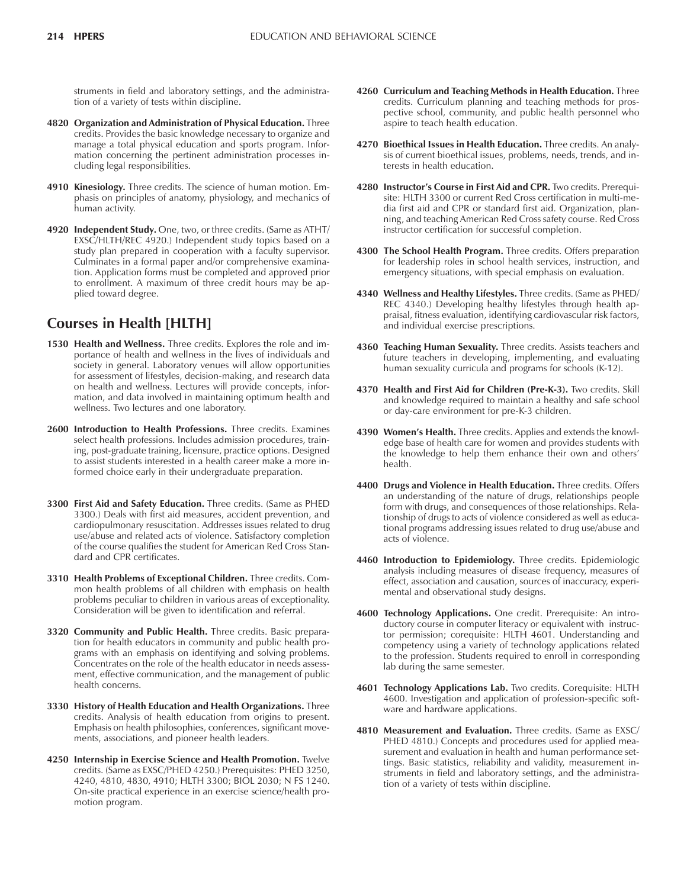struments in field and laboratory settings, and the administration of a variety of tests within discipline.

- **4820 Organization and Administration of Physical Education.** Three credits. Provides the basic knowledge necessary to organize and manage a total physical education and sports program. Information concerning the pertinent administration processes including legal responsibilities.
- **4910 Kinesiology.** Three credits. The science of human motion. Emphasis on principles of anatomy, physiology, and mechanics of human activity.
- **4920 Independent Study.** One, two, or three credits. (Same as ATHT/ EXSC/HLTH/REC 4920.) Independent study topics based on a study plan prepared in cooperation with a faculty supervisor. Culminates in a formal paper and/or comprehensive examination. Application forms must be completed and approved prior to enrollment. A maximum of three credit hours may be applied toward degree.

# **Courses in Health [HLTH]**

- **1530 Health and Wellness.** Three credits. Explores the role and importance of health and wellness in the lives of individuals and society in general. Laboratory venues will allow opportunities for assessment of lifestyles, decision-making, and research data on health and wellness. Lectures will provide concepts, information, and data involved in maintaining optimum health and wellness. Two lectures and one laboratory.
- **2600 Introduction to Health Professions.** Three credits. Examines select health professions. Includes admission procedures, training, post-graduate training, licensure, practice options. Designed to assist students interested in a health career make a more informed choice early in their undergraduate preparation.
- **3300 First Aid and Safety Education.** Three credits. (Same as PHED 3300.) Deals with first aid measures, accident prevention, and cardiopulmonary resuscitation. Addresses issues related to drug use/abuse and related acts of violence. Satisfactory completion of the course qualifies the student for American Red Cross Standard and CPR certificates.
- **3310 Health Problems of Exceptional Children.** Three credits. Common health problems of all children with emphasis on health problems peculiar to children in various areas of exceptionality. Consideration will be given to identification and referral.
- **3320 Community and Public Health.** Three credits. Basic preparation for health educators in community and public health programs with an emphasis on identifying and solving problems. Concentrates on the role of the health educator in needs assessment, effective communication, and the management of public health concerns.
- **3330 History of Health Education and Health Organizations.** Three credits. Analysis of health education from origins to present. Emphasis on health philosophies, conferences, significant movements, associations, and pioneer health leaders.
- **4250 Internship in Exercise Science and Health Promotion.** Twelve credits. (Same as EXSC/PHED 4250.) Prerequisites: PHED 3250, 4240, 4810, 4830, 4910; HLTH 3300; BIOL 2030; N FS 1240. On-site practical experience in an exercise science/health promotion program.
- **4260 Curriculum and Teaching Methods in Health Education.** Three credits. Curriculum planning and teaching methods for prospective school, community, and public health personnel who aspire to teach health education.
- **4270 Bioethical Issues in Health Education.** Three credits. An analysis of current bioethical issues, problems, needs, trends, and interests in health education.
- **4280 Instructorís Course in First Aid and CPR.** Two credits. Prerequisite: HLTH 3300 or current Red Cross certification in multi-media first aid and CPR or standard first aid. Organization, planning, and teaching American Red Cross safety course. Red Cross instructor certification for successful completion.
- **4300 The School Health Program.** Three credits. Offers preparation for leadership roles in school health services, instruction, and emergency situations, with special emphasis on evaluation.
- **4340 Wellness and Healthy Lifestyles.** Three credits. (Same as PHED/ REC 4340.) Developing healthy lifestyles through health appraisal, fitness evaluation, identifying cardiovascular risk factors, and individual exercise prescriptions.
- **4360 Teaching Human Sexuality.** Three credits. Assists teachers and future teachers in developing, implementing, and evaluating human sexuality curricula and programs for schools (K-12).
- **4370 Health and First Aid for Children (Pre-K-3).** Two credits. Skill and knowledge required to maintain a healthy and safe school or day-care environment for pre-K-3 children.
- 4390 Women's Health. Three credits. Applies and extends the knowledge base of health care for women and provides students with the knowledge to help them enhance their own and others' health.
- **4400 Drugs and Violence in Health Education.** Three credits. Offers an understanding of the nature of drugs, relationships people form with drugs, and consequences of those relationships. Relationship of drugs to acts of violence considered as well as educational programs addressing issues related to drug use/abuse and acts of violence.
- **4460 Introduction to Epidemiology.** Three credits. Epidemiologic analysis including measures of disease frequency, measures of effect, association and causation, sources of inaccuracy, experimental and observational study designs.
- **4600 Technology Applications.** One credit. Prerequisite: An introductory course in computer literacy or equivalent with instructor permission; corequisite: HLTH 4601. Understanding and competency using a variety of technology applications related to the profession. Students required to enroll in corresponding lab during the same semester.
- **4601 Technology Applications Lab.** Two credits. Corequisite: HLTH 4600. Investigation and application of profession-specific software and hardware applications.
- **4810 Measurement and Evaluation.** Three credits. (Same as EXSC/ PHED 4810.) Concepts and procedures used for applied measurement and evaluation in health and human performance settings. Basic statistics, reliability and validity, measurement instruments in field and laboratory settings, and the administration of a variety of tests within discipline.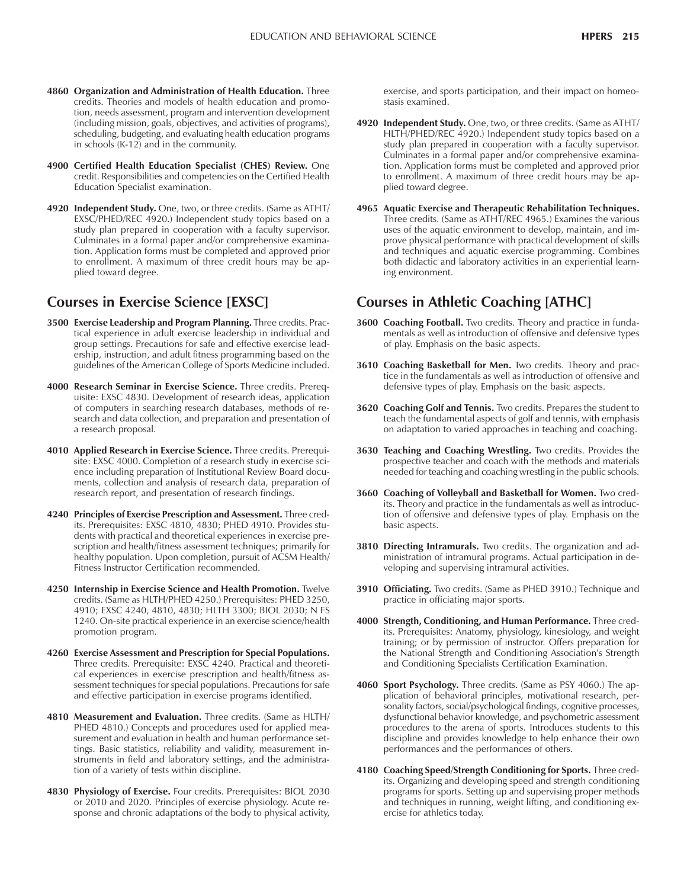- **4860 Organization and Administration of Health Education.** Three credits. Theories and models of health education and promotion, needs assessment, program and intervention development (including mission, goals, objectives, and activities of programs), scheduling, budgeting, and evaluating health education programs in schools (K-12) and in the community.
- **4900 Certified Health Education Specialist (CHES) Review.** One credit. Responsibilities and competencies on the Certified Health Education Specialist examination.
- **4920 Independent Study.** One, two, or three credits. (Same as ATHT/ EXSC/PHED/REC 4920.) Independent study topics based on a study plan prepared in cooperation with a faculty supervisor. Culminates in a formal paper and/or comprehensive examination. Application forms must be completed and approved prior to enrollment. A maximum of three credit hours may be applied toward degree.

## **Courses in Exercise Science [EXSC]**

- **3500 Exercise Leadership and Program Planning.** Three credits. Practical experience in adult exercise leadership in individual and group settings. Precautions for safe and effective exercise leadership, instruction, and adult fitness programming based on the guidelines of the American College of Sports Medicine included.
- **4000 Research Seminar in Exercise Science.** Three credits. Prerequisite: EXSC 4830. Development of research ideas, application of computers in searching research databases, methods of research and data collection, and preparation and presentation of a research proposal.
- **4010 Applied Research in Exercise Science.** Three credits. Prerequisite: EXSC 4000. Completion of a research study in exercise science including preparation of Institutional Review Board documents, collection and analysis of research data, preparation of research report, and presentation of research findings.
- **4240 Principles of Exercise Prescription and Assessment.** Three credits. Prerequisites: EXSC 4810, 4830; PHED 4910. Provides students with practical and theoretical experiences in exercise prescription and health/fitness assessment techniques; primarily for healthy population. Upon completion, pursuit of ACSM Health/ Fitness Instructor Certification recommended.
- **4250 Internship in Exercise Science and Health Promotion.** Twelve credits. (Same as HLTH/PHED 4250.) Prerequisites: PHED 3250, 4910; EXSC 4240, 4810, 4830; HLTH 3300; BIOL 2030; N FS 1240. On-site practical experience in an exercise science/health promotion program.
- **4260 Exercise Assessment and Prescription for Special Populations.** Three credits. Prerequisite: EXSC 4240. Practical and theoretical experiences in exercise prescription and health/fitness assessment techniques for special populations. Precautions for safe and effective participation in exercise programs identified.
- **4810 Measurement and Evaluation.** Three credits. (Same as HLTH/ PHED 4810.) Concepts and procedures used for applied measurement and evaluation in health and human performance settings. Basic statistics, reliability and validity, measurement instruments in field and laboratory settings, and the administration of a variety of tests within discipline.
- **4830 Physiology of Exercise.** Four credits. Prerequisites: BIOL 2030 or 2010 and 2020. Principles of exercise physiology. Acute response and chronic adaptations of the body to physical activity,

exercise, and sports participation, and their impact on homeostasis examined.

- **4920 Independent Study.** One, two, or three credits. (Same as ATHT/ HLTH/PHED/REC 4920.) Independent study topics based on a study plan prepared in cooperation with a faculty supervisor. Culminates in a formal paper and/or comprehensive examination. Application forms must be completed and approved prior to enrollment. A maximum of three credit hours may be applied toward degree.
- **4965 Aquatic Exercise and Therapeutic Rehabilitation Techniques.** Three credits. (Same as ATHT/REC 4965.) Examines the various uses of the aquatic environment to develop, maintain, and improve physical performance with practical development of skills and techniques and aquatic exercise programming. Combines both didactic and laboratory activities in an experiential learning environment.

# **Courses in Athletic Coaching [ATHC]**

- **3600 Coaching Football.** Two credits. Theory and practice in fundamentals as well as introduction of offensive and defensive types of play. Emphasis on the basic aspects.
- **3610 Coaching Basketball for Men.** Two credits. Theory and practice in the fundamentals as well as introduction of offensive and defensive types of play. Emphasis on the basic aspects.
- **3620 Coaching Golf and Tennis.** Two credits. Prepares the student to teach the fundamental aspects of golf and tennis, with emphasis on adaptation to varied approaches in teaching and coaching.
- **3630 Teaching and Coaching Wrestling.** Two credits. Provides the prospective teacher and coach with the methods and materials needed for teaching and coaching wrestling in the public schools.
- **3660 Coaching of Volleyball and Basketball for Women.** Two credits. Theory and practice in the fundamentals as well as introduction of offensive and defensive types of play. Emphasis on the basic aspects.
- **3810 Directing Intramurals.** Two credits. The organization and administration of intramural programs. Actual participation in developing and supervising intramural activities.
- **3910 Officiating.** Two credits. (Same as PHED 3910.) Technique and practice in officiating major sports.
- **4000 Strength, Conditioning, and Human Performance.** Three credits. Prerequisites: Anatomy, physiology, kinesiology, and weight training; or by permission of instructor. Offers preparation for the National Strength and Conditioning Association's Strength and Conditioning Specialists Certification Examination.
- **4060 Sport Psychology.** Three credits. (Same as PSY 4060.) The application of behavioral principles, motivational research, personality factors, social/psychological findings, cognitive processes, dysfunctional behavior knowledge, and psychometric assessment procedures to the arena of sports. Introduces students to this discipline and provides knowledge to help enhance their own performances and the performances of others.
- **4180 Coaching Speed/Strength Conditioning for Sports.** Three credits. Organizing and developing speed and strength conditioning programs for sports. Setting up and supervising proper methods and techniques in running, weight lifting, and conditioning exercise for athletics today.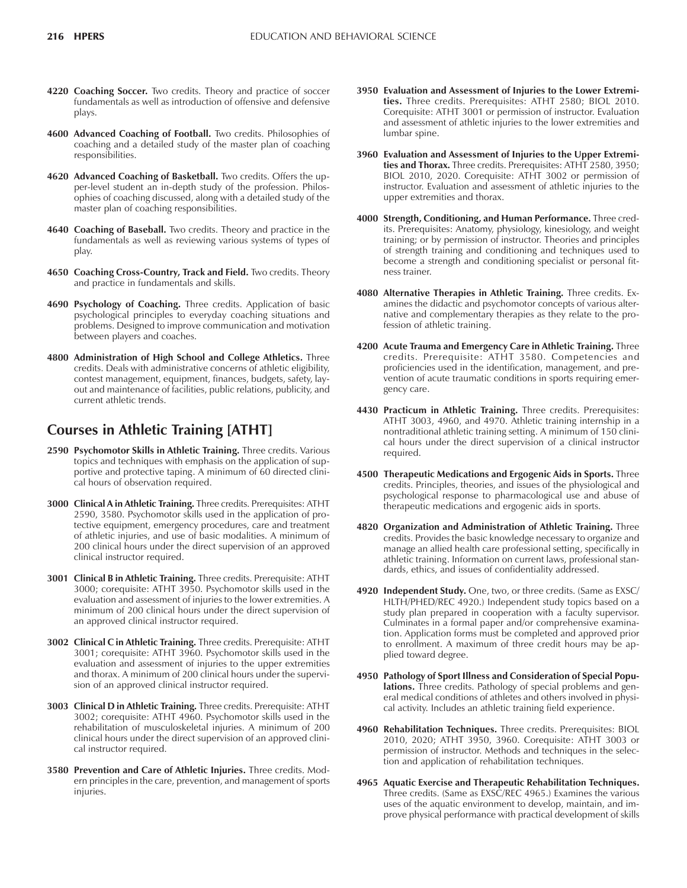- **4220 Coaching Soccer.** Two credits. Theory and practice of soccer fundamentals as well as introduction of offensive and defensive plays.
- **4600 Advanced Coaching of Football.** Two credits. Philosophies of coaching and a detailed study of the master plan of coaching responsibilities.
- **4620 Advanced Coaching of Basketball.** Two credits. Offers the upper-level student an in-depth study of the profession. Philosophies of coaching discussed, along with a detailed study of the master plan of coaching responsibilities.
- **4640 Coaching of Baseball.** Two credits. Theory and practice in the fundamentals as well as reviewing various systems of types of play.
- **4650 Coaching Cross-Country, Track and Field.** Two credits. Theory and practice in fundamentals and skills.
- **4690 Psychology of Coaching.** Three credits. Application of basic psychological principles to everyday coaching situations and problems. Designed to improve communication and motivation between players and coaches.
- **4800 Administration of High School and College Athletics.** Three credits. Deals with administrative concerns of athletic eligibility, contest management, equipment, finances, budgets, safety, layout and maintenance of facilities, public relations, publicity, and current athletic trends.

# **Courses in Athletic Training [ATHT]**

- **2590 Psychomotor Skills in Athletic Training.** Three credits. Various topics and techniques with emphasis on the application of supportive and protective taping. A minimum of 60 directed clinical hours of observation required.
- **3000 Clinical A in Athletic Training.** Three credits. Prerequisites: ATHT 2590, 3580. Psychomotor skills used in the application of protective equipment, emergency procedures, care and treatment of athletic injuries, and use of basic modalities. A minimum of 200 clinical hours under the direct supervision of an approved clinical instructor required.
- **3001 Clinical B in Athletic Training.** Three credits. Prerequisite: ATHT 3000; corequisite: ATHT 3950. Psychomotor skills used in the evaluation and assessment of injuries to the lower extremities. A minimum of 200 clinical hours under the direct supervision of an approved clinical instructor required.
- **3002 Clinical C in Athletic Training.** Three credits. Prerequisite: ATHT 3001; corequisite: ATHT 3960. Psychomotor skills used in the evaluation and assessment of injuries to the upper extremities and thorax. A minimum of 200 clinical hours under the supervision of an approved clinical instructor required.
- **3003 Clinical D in Athletic Training.** Three credits. Prerequisite: ATHT 3002; corequisite: ATHT 4960. Psychomotor skills used in the rehabilitation of musculoskeletal injuries. A minimum of 200 clinical hours under the direct supervision of an approved clinical instructor required.
- **3580 Prevention and Care of Athletic Injuries.** Three credits. Modern principles in the care, prevention, and management of sports injuries.
- **3950 Evaluation and Assessment of Injuries to the Lower Extremities.** Three credits. Prerequisites: ATHT 2580; BIOL 2010. Corequisite: ATHT 3001 or permission of instructor. Evaluation and assessment of athletic injuries to the lower extremities and lumbar spine.
- **3960 Evaluation and Assessment of Injuries to the Upper Extremities and Thorax.** Three credits. Prerequisites: ATHT 2580, 3950; BIOL 2010, 2020. Corequisite: ATHT 3002 or permission of instructor. Evaluation and assessment of athletic injuries to the upper extremities and thorax.
- **4000 Strength, Conditioning, and Human Performance.** Three credits. Prerequisites: Anatomy, physiology, kinesiology, and weight training; or by permission of instructor. Theories and principles of strength training and conditioning and techniques used to become a strength and conditioning specialist or personal fitness trainer.
- **4080 Alternative Therapies in Athletic Training.** Three credits. Examines the didactic and psychomotor concepts of various alternative and complementary therapies as they relate to the profession of athletic training.
- **4200 Acute Trauma and Emergency Care in Athletic Training.** Three credits. Prerequisite: ATHT 3580. Competencies and proficiencies used in the identification, management, and prevention of acute traumatic conditions in sports requiring emergency care.
- **4430 Practicum in Athletic Training.** Three credits. Prerequisites: ATHT 3003, 4960, and 4970. Athletic training internship in a nontraditional athletic training setting. A minimum of 150 clinical hours under the direct supervision of a clinical instructor required.
- **4500 Therapeutic Medications and Ergogenic Aids in Sports.** Three credits. Principles, theories, and issues of the physiological and psychological response to pharmacological use and abuse of therapeutic medications and ergogenic aids in sports.
- **4820 Organization and Administration of Athletic Training.** Three credits. Provides the basic knowledge necessary to organize and manage an allied health care professional setting, specifically in athletic training. Information on current laws, professional standards, ethics, and issues of confidentiality addressed.
- **4920 Independent Study.** One, two, or three credits. (Same as EXSC/ HLTH/PHED/REC 4920.) Independent study topics based on a study plan prepared in cooperation with a faculty supervisor. Culminates in a formal paper and/or comprehensive examination. Application forms must be completed and approved prior to enrollment. A maximum of three credit hours may be applied toward degree.
- **4950 Pathology of Sport Illness and Consideration of Special Populations.** Three credits. Pathology of special problems and general medical conditions of athletes and others involved in physical activity. Includes an athletic training field experience.
- **4960 Rehabilitation Techniques.** Three credits. Prerequisites: BIOL 2010, 2020; ATHT 3950, 3960. Corequisite: ATHT 3003 or permission of instructor. Methods and techniques in the selection and application of rehabilitation techniques.
- **4965 Aquatic Exercise and Therapeutic Rehabilitation Techniques.** Three credits. (Same as EXSC/REC 4965.) Examines the various uses of the aquatic environment to develop, maintain, and improve physical performance with practical development of skills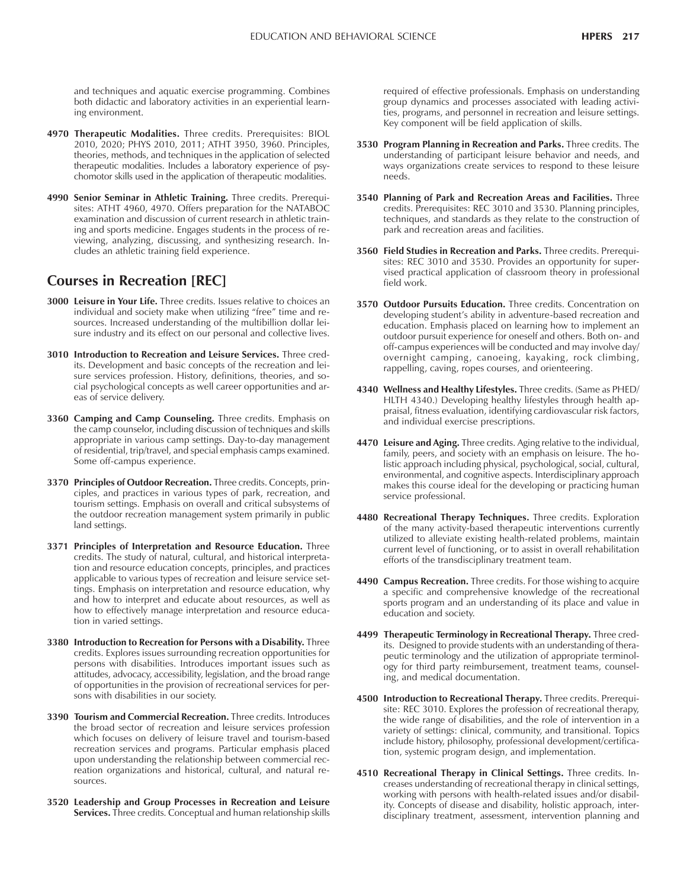and techniques and aquatic exercise programming. Combines both didactic and laboratory activities in an experiential learning environment.

- **4970 Therapeutic Modalities.** Three credits. Prerequisites: BIOL 2010, 2020; PHYS 2010, 2011; ATHT 3950, 3960. Principles, theories, methods, and techniques in the application of selected therapeutic modalities. Includes a laboratory experience of psychomotor skills used in the application of therapeutic modalities.
- **4990 Senior Seminar in Athletic Training.** Three credits. Prerequisites: ATHT 4960, 4970. Offers preparation for the NATABOC examination and discussion of current research in athletic training and sports medicine. Engages students in the process of reviewing, analyzing, discussing, and synthesizing research. Includes an athletic training field experience.

# **Courses in Recreation [REC]**

- **3000 Leisure in Your Life.** Three credits. Issues relative to choices an individual and society make when utilizing "free" time and resources. Increased understanding of the multibillion dollar leisure industry and its effect on our personal and collective lives.
- **3010 Introduction to Recreation and Leisure Services.** Three credits. Development and basic concepts of the recreation and leisure services profession. History, definitions, theories, and social psychological concepts as well career opportunities and areas of service delivery.
- **3360 Camping and Camp Counseling.** Three credits. Emphasis on the camp counselor, including discussion of techniques and skills appropriate in various camp settings. Day-to-day management of residential, trip/travel, and special emphasis camps examined. Some off-campus experience.
- **3370 Principles of Outdoor Recreation.** Three credits. Concepts, principles, and practices in various types of park, recreation, and tourism settings. Emphasis on overall and critical subsystems of the outdoor recreation management system primarily in public land settings.
- **3371 Principles of Interpretation and Resource Education.** Three credits. The study of natural, cultural, and historical interpretation and resource education concepts, principles, and practices applicable to various types of recreation and leisure service settings. Emphasis on interpretation and resource education, why and how to interpret and educate about resources, as well as how to effectively manage interpretation and resource education in varied settings.
- **3380 Introduction to Recreation for Persons with a Disability.** Three credits. Explores issues surrounding recreation opportunities for persons with disabilities. Introduces important issues such as attitudes, advocacy, accessibility, legislation, and the broad range of opportunities in the provision of recreational services for persons with disabilities in our society.
- **3390 Tourism and Commercial Recreation.** Three credits. Introduces the broad sector of recreation and leisure services profession which focuses on delivery of leisure travel and tourism-based recreation services and programs. Particular emphasis placed upon understanding the relationship between commercial recreation organizations and historical, cultural, and natural resources.
- **3520 Leadership and Group Processes in Recreation and Leisure Services.** Three credits. Conceptual and human relationship skills

required of effective professionals. Emphasis on understanding group dynamics and processes associated with leading activities, programs, and personnel in recreation and leisure settings. Key component will be field application of skills.

- **3530 Program Planning in Recreation and Parks.** Three credits. The understanding of participant leisure behavior and needs, and ways organizations create services to respond to these leisure needs.
- **3540 Planning of Park and Recreation Areas and Facilities.** Three credits. Prerequisites: REC 3010 and 3530. Planning principles, techniques, and standards as they relate to the construction of park and recreation areas and facilities.
- **3560 Field Studies in Recreation and Parks.** Three credits. Prerequisites: REC 3010 and 3530. Provides an opportunity for supervised practical application of classroom theory in professional field work.
- **3570 Outdoor Pursuits Education.** Three credits. Concentration on developing student's ability in adventure-based recreation and education. Emphasis placed on learning how to implement an outdoor pursuit experience for oneself and others. Both on- and off-campus experiences will be conducted and may involve day/ overnight camping, canoeing, kayaking, rock climbing, rappelling, caving, ropes courses, and orienteering.
- **4340 Wellness and Healthy Lifestyles.** Three credits. (Same as PHED/ HLTH 4340.) Developing healthy lifestyles through health appraisal, fitness evaluation, identifying cardiovascular risk factors, and individual exercise prescriptions.
- **4470 Leisure and Aging.** Three credits. Aging relative to the individual, family, peers, and society with an emphasis on leisure. The holistic approach including physical, psychological, social, cultural, environmental, and cognitive aspects. Interdisciplinary approach makes this course ideal for the developing or practicing human service professional.
- **4480 Recreational Therapy Techniques.** Three credits. Exploration of the many activity-based therapeutic interventions currently utilized to alleviate existing health-related problems, maintain current level of functioning, or to assist in overall rehabilitation efforts of the transdisciplinary treatment team.
- **4490 Campus Recreation.** Three credits. For those wishing to acquire a specific and comprehensive knowledge of the recreational sports program and an understanding of its place and value in education and society.
- **4499 Therapeutic Terminology in Recreational Therapy.** Three credits. Designed to provide students with an understanding of therapeutic terminology and the utilization of appropriate terminology for third party reimbursement, treatment teams, counseling, and medical documentation.
- **4500 Introduction to Recreational Therapy.** Three credits. Prerequisite: REC 3010. Explores the profession of recreational therapy, the wide range of disabilities, and the role of intervention in a variety of settings: clinical, community, and transitional. Topics include history, philosophy, professional development/certification, systemic program design, and implementation.
- **4510 Recreational Therapy in Clinical Settings.** Three credits. Increases understanding of recreational therapy in clinical settings, working with persons with health-related issues and/or disability. Concepts of disease and disability, holistic approach, interdisciplinary treatment, assessment, intervention planning and